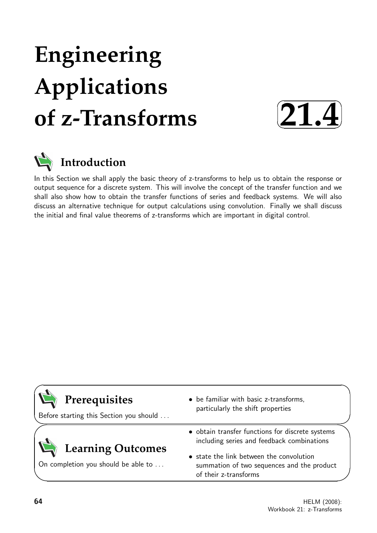# **Engineering Applications of z-Transforms**





# **Introduction**

In this Section we shall apply the basic theory of z-transforms to help us to obtain the response or output sequence for a discrete system. This will involve the concept of the transfer function and we shall also show how to obtain the transfer functions of series and feedback systems. We will also discuss an alternative technique for output calculations using convolution. Finally we shall discuss the initial and final value theorems of z-transforms which are important in digital control.

| Prerequisites<br>Before starting this Section you should | • be familiar with basic z-transforms,<br>particularly the shift properties                                     |
|----------------------------------------------------------|-----------------------------------------------------------------------------------------------------------------|
| Learning Outcomes<br>On completion you should be able to | · obtain transfer functions for discrete systems<br>including series and feedback combinations                  |
|                                                          | • state the link between the convolution<br>summation of two sequences and the product<br>of their z-transforms |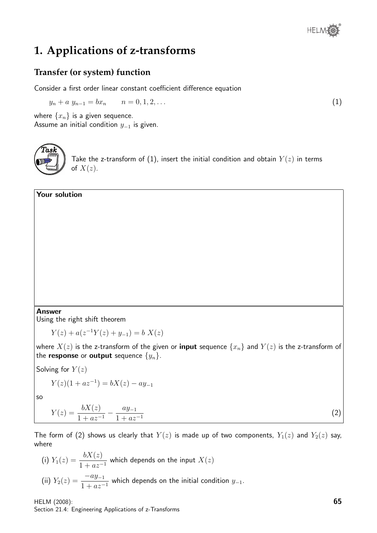## **1. Applications of z-transforms**

#### **Transfer (or system) function**

Consider a first order linear constant coefficient difference equation

 $y_n + a y_{n-1} = bx_n$   $n = 0, 1, 2, \ldots$  (1)

where  $\{x_n\}$  is a given sequence. Assume an initial condition  $y_{-1}$  is given.



Take the z-transform of (1), insert the initial condition and obtain  $Y(z)$  in terms of  $X(z)$ .

#### Your solution

#### Answer

Using the right shift theorem

$$
Y(z) + a(z^{-1}Y(z) + y_{-1}) = b X(z)
$$

where  $X(z)$  is the z-transform of the given or **input** sequence  $\{x_n\}$  and  $Y(z)$  is the z-transform of the **response** or **output** sequence  $\{y_n\}$ .

Solving for  $Y(z)$ 

$$
Y(z)(1 + az^{-1}) = bX(z) - ay_{-1}
$$

so

$$
Y(z) = \frac{bX(z)}{1 + az^{-1}} - \frac{ay_{-1}}{1 + az^{-1}}
$$
\n<sup>(2)</sup>

The form of (2) shows us clearly that  $Y(z)$  is made up of two components,  $Y_1(z)$  and  $Y_2(z)$  say, where

(i)  $Y_1(z) = \frac{bX(z)}{1 + az^{-1}}$  which depends on the input  $X(z)$ (ii)  $Y_2(z) = \frac{-ay_{-1}}{1 + az^{-1}}$  which depends on the initial condition  $y_{-1}$ .

HELM (2008): Section 21.4: Engineering Applications of z-Transforms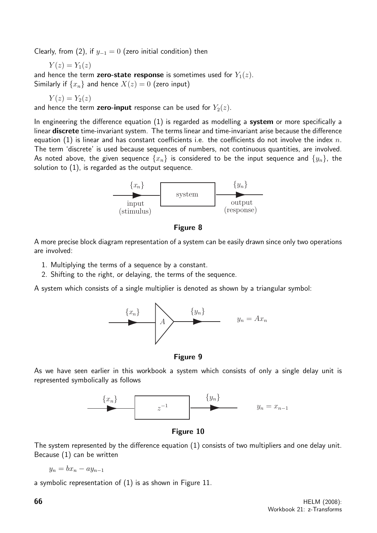Clearly, from (2), if  $y_{-1} = 0$  (zero initial condition) then

$$
Y(z) = Y_1(z)
$$

and hence the term **zero-state response** is sometimes used for  $Y_1(z)$ . Similarly if  $\{x_n\}$  and hence  $X(z) = 0$  (zero input)

$$
Y(z) = Y_2(z)
$$

and hence the term **zero-input** response can be used for  $Y_2(z)$ .

In engineering the difference equation  $(1)$  is regarded as modelling a system or more specifically a linear discrete time-invariant system. The terms linear and time-invariant arise because the difference equation (1) is linear and has constant coefficients i.e. the coefficients do not involve the index  $n$ . The term 'discrete' is used because sequences of numbers, not continuous quantities, are involved. As noted above, the given sequence  $\{x_n\}$  is considered to be the input sequence and  $\{y_n\}$ , the solution to (1), is regarded as the output sequence.



Figure 8

A more precise block diagram representation of a system can be easily drawn since only two operations are involved:

- 1. Multiplying the terms of a sequence by a constant.
- 2. Shifting to the right, or delaying, the terms of the sequence.

A system which consists of a single multiplier is denoted as shown by a triangular symbol:





As we have seen earlier in this workbook a system which consists of only a single delay unit is represented symbolically as follows



Figure 10

The system represented by the difference equation (1) consists of two multipliers and one delay unit. Because (1) can be written

$$
y_n = bx_n - ay_{n-1}
$$

a symbolic representation of (1) is as shown in Figure 11.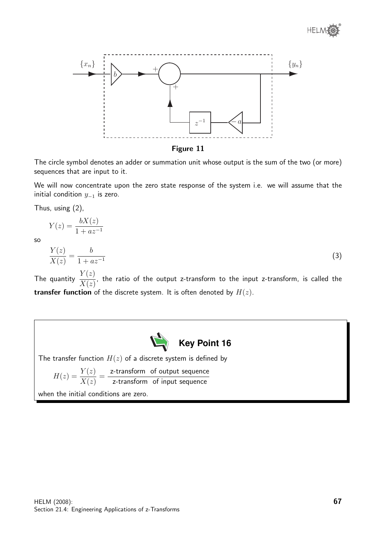

Figure 11

The circle symbol denotes an adder or summation unit whose output is the sum of the two (or more) sequences that are input to it.

We will now concentrate upon the zero state response of the system i.e. we will assume that the initial condition  $y_{-1}$  is zero.

Thus, using (2),

 $Y(z) = \frac{bX(z)}{1+z}$  $1 + az^{-1}$ 

so

$$
\frac{Y(z)}{X(z)} = \frac{b}{1 + az^{-1}}
$$
\n(3)

The quantity  $\frac{Y(z)}{Y(z)}$  $X(z)$ , the ratio of the output z-transform to the input z-transform, is called the transfer function of the discrete system. It is often denoted by  $H(z)$ .



The transfer function  $H(z)$  of a discrete system is defined by

$$
H(z) = \frac{Y(z)}{X(z)} = \frac{z\text{-transform of output sequence}}{z\text{-transform of input sequence}}
$$

when the initial conditions are zero.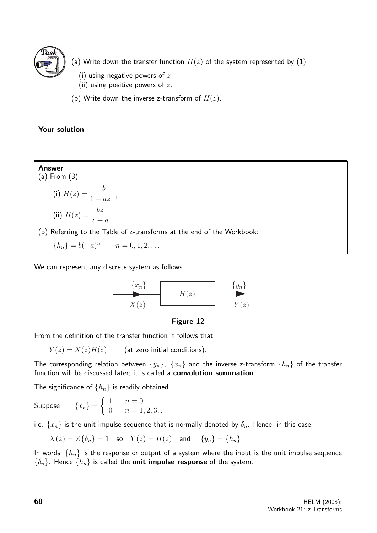

- (a) Write down the transfer function  $H(z)$  of the system represented by  $(1)$ 
	- (i) using negative powers of  $z$
	- (ii) using positive powers of  $z$ .
- (b) Write down the inverse z-transform of  $H(z)$ .

Your solution Answer (a) From (3) (i)  $H(z) = \frac{b}{1+z}$  $1 + az^{-1}$ (ii)  $H(z) = \frac{bz}{z}$  $z + a$ (b) Referring to the Table of z-transforms at the end of the Workbook:  ${h_n} = b(-a)^n$   $n = 0, 1, 2, ...$ 

We can represent any discrete system as follows



#### Figure 12

From the definition of the transfer function it follows that

 $Y(z) = X(z)H(z)$  (at zero initial conditions).

The corresponding relation between  $\{y_n\}$ ,  $\{x_n\}$  and the inverse z-transform  $\{h_n\}$  of the transfer function will be discussed later; it is called a convolution summation.

The significance of  $\{h_n\}$  is readily obtained.

Suppose  $\{x_n\} =$  $\int 1 \quad n=0$ 0  $n = 1, 2, 3, \ldots$ 

i.e.  $\{x_n\}$  is the unit impulse sequence that is normally denoted by  $\delta_n$ . Hence, in this case,

$$
X(z) = Z\{\delta_n\} = 1 \quad \text{so} \quad Y(z) = H(z) \quad \text{and} \quad \{y_n\} = \{h_n\}
$$

In words:  $\{h_n\}$  is the response or output of a system where the input is the unit impulse sequence  $\{\delta_n\}$ . Hence  $\{h_n\}$  is called the **unit impulse response** of the system.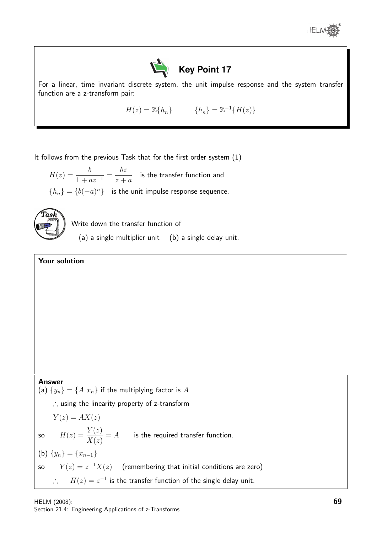



For a linear, time invariant discrete system, the unit impulse response and the system transfer function are a z-transform pair:

 $H(z) = \mathbb{Z}\{h_n\}$   $\{h_n\} = \mathbb{Z}^{-1}\{H(z)\}\$ 

It follows from the previous Task that for the first order system (1)

 $H(z) = \frac{b}{1+z}$  $\frac{6}{1 + az^{-1}} =$ bz  $z + a$ is the transfer function and  ${h_n} = {b(-a)^n}$  is the unit impulse response sequence.



Write down the transfer function of

(a) a single multiplier unit (b) a single delay unit.

#### Your solution

#### Answer

(a)  $\{y_n\} = \{A \ x_n\}$  if the multiplying factor is  $A$ 

∴ using the linearity property of z-transform

$$
Y(z) = AX(z)
$$

so 
$$
H(z) = \frac{Y(z)}{X(z)} = A
$$
 is the required transfer function.

\n- (b) 
$$
\{y_n\} = \{x_{n-1}\}
$$
\n- so  $Y(z) = z^{-1}X(z)$  (remembering that initial conditions are zero)  $\therefore H(z) = z^{-1}$  is the transfer function of the single delay unit.
\n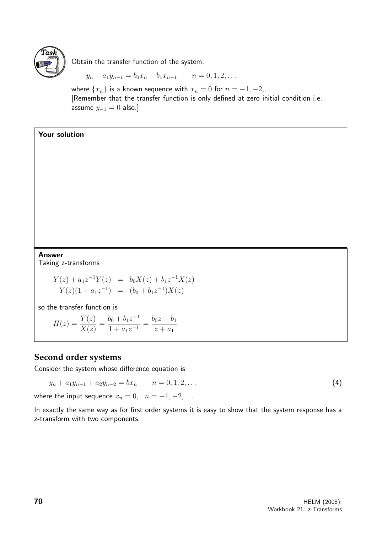

Obtain the transfer function of the system.

$$
y_n + a_1 y_{n-1} = b_0 x_n + b_1 x_{n-1} \qquad n = 0, 1, 2, \dots
$$

where  $\{x_n\}$  is a known sequence with  $x_n = 0$  for  $n = -1, -2, \ldots$ . [Remember that the transfer function is only defined at zero initial condition i.e. assume  $y_{-1} = 0$  also.]

#### Your solution

Answer

Taking z-transforms

$$
Y(z) + a_1 z^{-1} Y(z) = b_0 X(z) + b_1 z^{-1} X(z)
$$
  
\n
$$
Y(z)(1 + a_1 z^{-1}) = (b_0 + b_1 z^{-1}) X(z)
$$

so the transfer function is

$$
H(z) = \frac{Y(z)}{X(z)} = \frac{b_0 + b_1 z^{-1}}{1 + a_1 z^{-1}} = \frac{b_0 z + b_1}{z + a_1}
$$

#### **Second order systems**

Consider the system whose difference equation is

 $y_n + a_1 y_{n-1} + a_2 y_{n-2} = b x_n$   $n = 0, 1, 2, ...$  (4)

where the input sequence  $x_n = 0$ ,  $n = -1, -2, \ldots$ 

In exactly the same way as for first order systems it is easy to show that the system response has a z-transform with two components.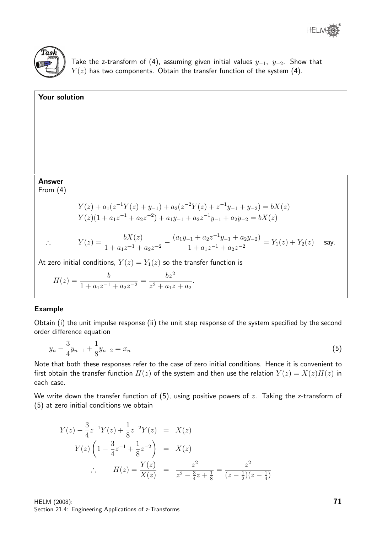



Take the z-transform of (4), assuming given initial values  $y_{-1}$ ,  $y_{-2}$ . Show that  $Y(z)$  has two components. Obtain the transfer function of the system (4).

# Your solution Answer From (4)  $Y(z) + a_1(z^{-1}Y(z) + y_{-1}) + a_2(z^{-2}Y(z) + z^{-1}y_{-1} + y_{-2}) = bX(z)$  $Y(z)(1 + a_1z^{-1} + a_2z^{-2}) + a_1y_{-1} + a_2z^{-1}y_{-1} + a_2y_{-2} = bX(z)$ ∴  $Y(z) = \frac{bX(z)}{1+z}$  $\frac{bX(z)}{1 + a_1z^{-1} + a_2z^{-2}} - \frac{(a_1y_{-1} + a_2z^{-1}y_{-1} + a_2y_{-2})}{1 + a_1z^{-1} + a_2z^{-2}}$  $\frac{1}{1 + a_1 z^{-1} + a_2 z^{-2}} = Y_1(z) + Y_2(z)$  say. At zero initial conditions,  $Y(z) = Y_1(z)$  so the transfer function is

$$
H(z) = \frac{b}{1 + a_1 z^{-1} + a_2 z^{-2}} = \frac{bz^2}{z^2 + a_1 z + a_2}.
$$

#### Example

Obtain (i) the unit impulse response (ii) the unit step response of the system specified by the second order difference equation

$$
y_n - \frac{3}{4}y_{n-1} + \frac{1}{8}y_{n-2} = x_n \tag{5}
$$

Note that both these responses refer to the case of zero initial conditions. Hence it is convenient to first obtain the transfer function  $H(z)$  of the system and then use the relation  $Y(z) = X(z)H(z)$  in each case.

We write down the transfer function of  $(5)$ , using positive powers of z. Taking the z-transform of (5) at zero initial conditions we obtain

$$
Y(z) - \frac{3}{4}z^{-1}Y(z) + \frac{1}{8}z^{-2}Y(z) = X(z)
$$
  
\n
$$
Y(z) \left(1 - \frac{3}{4}z^{-1} + \frac{1}{8}z^{-2}\right) = X(z)
$$
  
\n
$$
\therefore H(z) = \frac{Y(z)}{X(z)} = \frac{z^2}{z^2 - \frac{3}{4}z + \frac{1}{8}} = \frac{z^2}{(z - \frac{1}{2})(z - \frac{1}{4})}
$$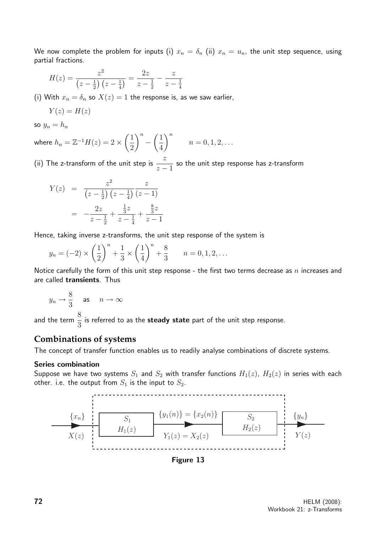We now complete the problem for inputs (i)  $x_n = \delta_n$  (ii)  $x_n = u_n$ , the unit step sequence, using partial fractions.

$$
H(z) = \frac{z^2}{\left(z - \frac{1}{2}\right)\left(z - \frac{1}{4}\right)} = \frac{2z}{z - \frac{1}{2}} - \frac{z}{z - \frac{1}{4}}
$$

(i) With  $x_n = \delta_n$  so  $X(z) = 1$  the response is, as we saw earlier,

$$
Y(z)=H(z)
$$

so  $y_n = h_n$ 

where  $h_n = \mathbb{Z}^{-1}H(z) = 2\times\left(\frac{1}{2}\right)$ 2  $\setminus^n$ −  $\sqrt{1}$ 4  $\setminus^n$  $n = 0, 1, 2, \ldots$ 

(ii) The z-transform of the unit step is  $\stackrel{z}{-}$  $z - 1$ so the unit step response has z-transform

$$
Y(z) = \frac{z^2}{\left(z - \frac{1}{2}\right)\left(z - \frac{1}{4}\right)} \frac{z}{\left(z - 1\right)}
$$
  
= 
$$
-\frac{2z}{z - \frac{1}{2}} + \frac{\frac{1}{3}z}{z - \frac{1}{4}} + \frac{\frac{8}{3}z}{z - 1}
$$

Hence, taking inverse z-transforms, the unit step response of the system is

$$
y_n = (-2) \times \left(\frac{1}{2}\right)^n + \frac{1}{3} \times \left(\frac{1}{4}\right)^n + \frac{8}{3}
$$
  $n = 0, 1, 2, ...$ 

Notice carefully the form of this unit step response - the first two terms decrease as  $n$  increases and are called transients. Thus

$$
y_n \to \frac{8}{3} \quad \text{as} \quad n \to \infty
$$

and the term  $\frac{8}{9}$ 3 is referred to as the steady state part of the unit step response.

#### **Combinations of systems**

The concept of transfer function enables us to readily analyse combinations of discrete systems.

#### Series combination

Suppose we have two systems  $S_1$  and  $S_2$  with transfer functions  $H_1(z)$ ,  $H_2(z)$  in series with each other. i.e. the output from  $S_1$  is the input to  $S_2$ .



Figure 13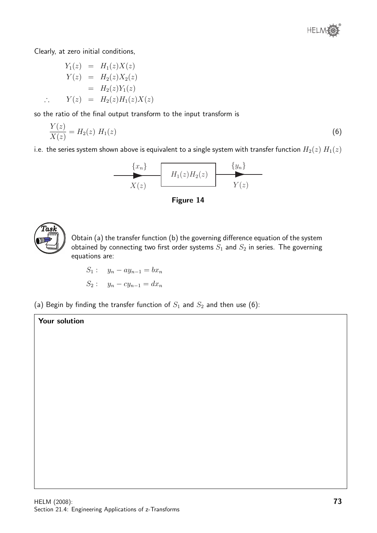

Clearly, at zero initial conditions,

$$
Y_1(z) = H_1(z)X(z)
$$
  
\n
$$
Y(z) = H_2(z)X_2(z)
$$
  
\n
$$
= H_2(z)Y_1(z)
$$
  
\n
$$
\therefore Y(z) = H_2(z)H_1(z)X(z)
$$

so the ratio of the final output transform to the input transform is

$$
\frac{Y(z)}{X(z)} = H_2(z) \ H_1(z) \tag{6}
$$

i.e. the series system shown above is equivalent to a single system with transfer function  $H_2(z)$   $H_1(z)$ 







Obtain (a) the transfer function (b) the governing difference equation of the system obtained by connecting two first order systems  $S_1$  and  $S_2$  in series. The governing equations are:

$$
S_1: \t y_n - ay_{n-1} = bx_n
$$
  

$$
S_2: \t y_n - cy_{n-1} = dx_n
$$

(a) Begin by finding the transfer function of  $S_1$  and  $S_2$  and then use (6):

#### Your solution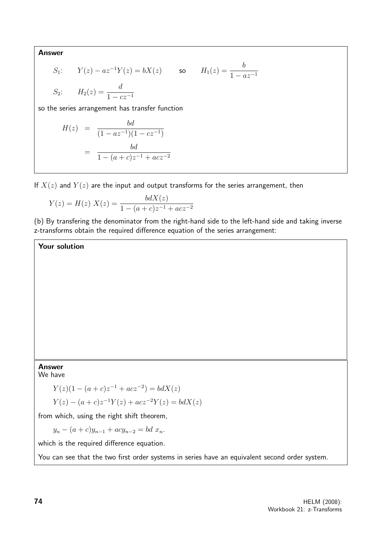Answer

$$
S_1: \t Y(z) - az^{-1}Y(z) = bX(z) \t so \t H_1(z) = \frac{b}{1 - az^{-1}}
$$
  

$$
S_2: \t H_2(z) = \frac{d}{1 - cz^{-1}}
$$

so the series arrangement has transfer function

$$
H(z) = \frac{bd}{(1 - az^{-1})(1 - cz^{-1})}
$$

$$
= \frac{bd}{1 - (a + c)z^{-1} + acz^{-2}}
$$

If  $X(z)$  and  $Y(z)$  are the input and output transforms for the series arrangement, then

$$
Y(z) = H(z) \ X(z) = \frac{bdX(z)}{1 - (a + c)z^{-1} + acz^{-2}}
$$

(b) By transfering the denominator from the right-hand side to the left-hand side and taking inverse z-transforms obtain the required difference equation of the series arrangement:

Your solution

#### Answer

We have

$$
Y(z)(1 - (a + c)z^{-1} + acz^{-2}) = bdX(z)
$$

$$
Y(z) - (a + c)z^{-1}Y(z) + acz^{-2}Y(z) = bdX(z)
$$

from which, using the right shift theorem,

 $y_n - (a + c)y_{n-1} + acy_{n-2} = bd x_n.$ 

which is the required difference equation.

You can see that the two first order systems in series have an equivalent second order system.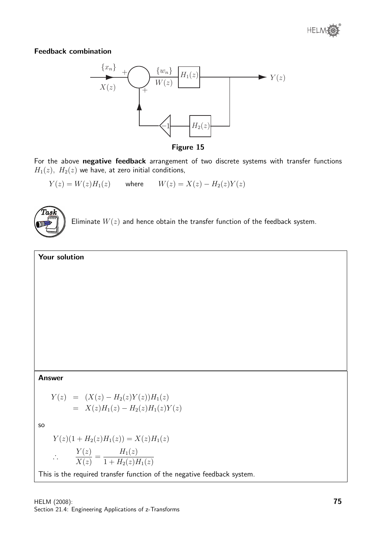

#### Feedback combination



Figure 15

For the above negative feedback arrangement of two discrete systems with transfer functions  $H_1(z)$ ,  $H_2(z)$  we have, at zero initial conditions,

 $Y(z) = W(z)H_1(z)$  where  $W(z) = X(z) - H_2(z)Y(z)$ 



Eliminate  $W(z)$  and hence obtain the transfer function of the feedback system.

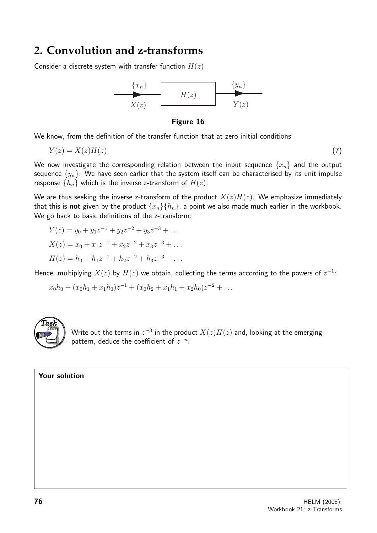### **2. Convolution and z-transforms**

Consider a discrete system with transfer function  $H(z)$ 





We know, from the definition of the transfer function that at zero initial conditions

$$
Y(z) = X(z)H(z) \tag{7}
$$

We now investigate the corresponding relation between the input sequence  $\{x_n\}$  and the output sequence  $\{y_n\}$ . We have seen earlier that the system itself can be characterised by its unit impulse response  $\{h_n\}$  which is the inverse z-transform of  $H(z)$ .

We are thus seeking the inverse z-transform of the product  $X(z)H(z)$ . We emphasize immediately that this is **not** given by the product  $\{x_n\}\{h_n\}$ , a point we also made much earlier in the workbook. We go back to basic definitions of the z-transform:

$$
Y(z) = y_0 + y_1 z^{-1} + y_2 z^{-2} + y_3 z^{-3} + \dots
$$
  
\n
$$
X(z) = x_0 + x_1 z^{-1} + x_2 z^{-2} + x_3 z^{-3} + \dots
$$
  
\n
$$
H(z) = h_0 + h_1 z^{-1} + h_2 z^{-2} + h_3 z^{-3} + \dots
$$

Hence, multiplying  $X(z)$  by  $H(z)$  we obtain, collecting the terms according to the powers of  $z^{-1}$ :

$$
x_0h_0 + (x_0h_1 + x_1h_0)z^{-1} + (x_0h_2 + x_1h_1 + x_2h_0)z^{-2} + \dots
$$



Write out the terms in  $z^{-3}$  in the product  $X(z) H(z)$  and, looking at the emerging pattern, deduce the coefficient of  $z^{-n}$ .

Your solution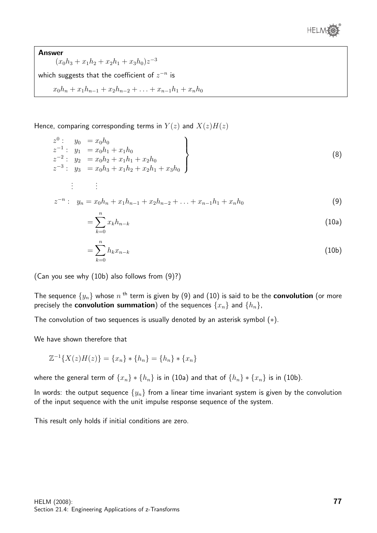

Answer  $(x_0h_3 + x_1h_2 + x_2h_1 + x_3h_0)z^{-3}$ which suggests that the coefficient of  $z^{-n}$  is  $x_0h_n + x_1h_{n-1} + x_2h_{n-2} + \ldots + x_{n-1}h_1 + x_nh_0$ 

Hence, comparing corresponding terms in  $Y(z)$  and  $X(z)H(z)$ 

$$
z^{0}: y_{0} = x_{0}h_{0}
$$
  
\n
$$
z^{-1}: y_{1} = x_{0}h_{1} + x_{1}h_{0}
$$
  
\n
$$
z^{-2}: y_{2} = x_{0}h_{2} + x_{1}h_{1} + x_{2}h_{0}
$$
  
\n
$$
z^{-3}: y_{3} = x_{0}h_{3} + x_{1}h_{2} + x_{2}h_{1} + x_{3}h_{0}
$$
  
\n
$$
\vdots \qquad \vdots
$$
  
\n(8)

$$
z^{-n}: y_n = x_0 h_n + x_1 h_{n-1} + x_2 h_{n-2} + \ldots + x_{n-1} h_1 + x_n h_0 \tag{9}
$$

$$
=\sum_{k=0}^{n}x_kh_{n-k}\tag{10a}
$$

$$
=\sum_{k=0}^{n}h_kx_{n-k}\tag{10b}
$$

(Can you see why (10b) also follows from (9)?)

The sequence  $\{y_n\}$  whose  $n$  <sup>th</sup> term is given by (9) and (10) is said to be the  ${\bf convolution}$  (or more precisely the **convolution summation**) of the sequences  $\{x_n\}$  and  $\{h_n\}$ ,

The convolution of two sequences is usually denoted by an asterisk symbol (∗).

We have shown therefore that

$$
\mathbb{Z}^{-1}\{X(z)H(z)\} = \{x_n\} * \{h_n\} = \{h_n\} * \{x_n\}
$$

where the general term of  $\{x_n\} * \{h_n\}$  is in (10a) and that of  $\{h_n\} * \{x_n\}$  is in (10b).

In words: the output sequence  $\{y_n\}$  from a linear time invariant system is given by the convolution of the input sequence with the unit impulse response sequence of the system.

This result only holds if initial conditions are zero.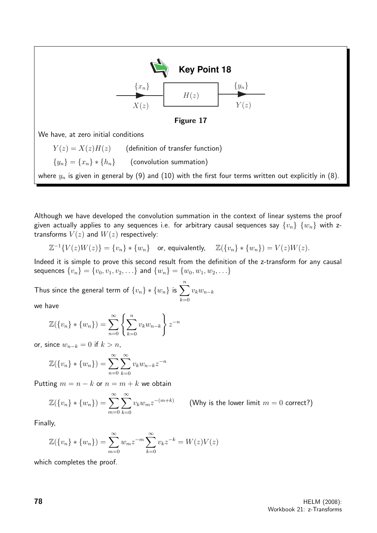

Although we have developed the convolution summation in the context of linear systems the proof given actually applies to any sequences i.e. for arbitrary causal sequences say  $\{v_n\}$   $\{w_n\}$  with ztransforms  $V(z)$  and  $W(z)$  respectively:

$$
\mathbb{Z}^{-1}{V(z)W(z)} = \{v_n\} * \{w_n\} \quad \text{or, equivalently,} \quad \mathbb{Z}(\{v_n\} * \{w_n\}) = V(z)W(z).
$$

Indeed it is simple to prove this second result from the definition of the z-transform for any causal sequences  $\{v_n\} = \{v_0, v_1, v_2, \ldots\}$  and  $\{w_n\} = \{w_0, w_1, w_2, \ldots\}$ 

Thus since the general term of  $\{v_n\}*\{w_n\}$  is  $\sum^n_i$  $_{k=0}$  $v_kw_{n-k}$ 

we have

$$
\mathbb{Z}(\{v_n\} * \{w_n\}) = \sum_{n=0}^{\infty} \left\{ \sum_{k=0}^{n} v_k w_{n-k} \right\} z^{-n}
$$

or, since  $w_{n-k} = 0$  if  $k > n$ ,

$$
\mathbb{Z}(\lbrace v_n \rbrace * \lbrace w_n \rbrace) = \sum_{n=0}^{\infty} \sum_{k=0}^{\infty} v_k w_{n-k} z^{-n}
$$

Putting  $m = n - k$  or  $n = m + k$  we obtain

$$
\mathbb{Z}(\{v_n\} * \{w_n\}) = \sum_{m=0}^{\infty} \sum_{k=0}^{\infty} v_k w_m z^{-(m+k)} \qquad \text{(Why is the lower limit } m=0 \text{ correct?)}
$$

Finally,

$$
\mathbb{Z}(\{v_n\} * \{w_n\}) = \sum_{m=0}^{\infty} w_m z^{-m} \sum_{k=0}^{\infty} v_k z^{-k} = W(z)V(z)
$$

which completes the proof.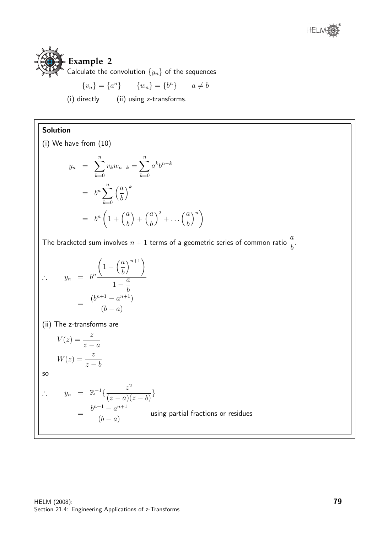



Calculate the convolution  $\{y_n\}$  of the sequences

$$
\{v_n\} = \{a^n\} \qquad \{w_n\} = \{b^n\} \qquad a \neq b
$$

(i) directly (ii) using z-transforms.

#### Solution

(i) We have from (10)

$$
y_n = \sum_{k=0}^n v_k w_{n-k} = \sum_{k=0}^n a^k b^{n-k}
$$

$$
= b^n \sum_{k=0}^n \left(\frac{a}{b}\right)^k
$$

$$
= b^n \left(1 + \left(\frac{a}{b}\right) + \left(\frac{a}{b}\right)^2 + \dots + \left(\frac{a}{b}\right)^n\right)
$$

The bracketed sum involves  $n+1$  terms of a geometric series of common ratio  $\frac{a}{b}$ b .

$$
\therefore \quad y_n = b^n \frac{\left(1 - \left(\frac{a}{b}\right)^{n+1}\right)}{1 - \frac{a}{b}}
$$

$$
= \frac{(b^{n+1} - a^{n+1})}{(b-a)}
$$

(ii) The z-transforms are

$$
V(z) = \frac{z}{z - a}
$$

$$
W(z) = \frac{z}{z - b}
$$

so

$$
\therefore \quad y_n = \mathbb{Z}^{-1}\left\{\frac{z^2}{(z-a)(z-b)}\right\}
$$

$$
= \frac{b^{n+1} - a^{n+1}}{(b-a)}
$$
 using partial fractions or residues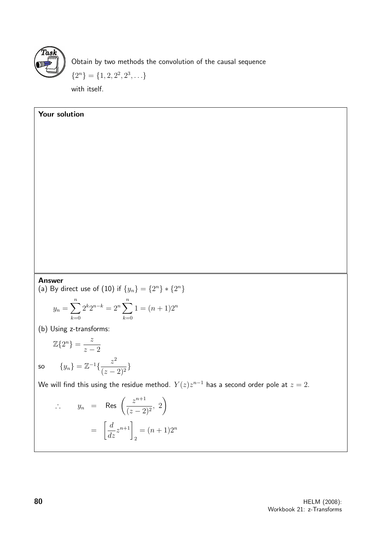

Your solution

Obtain by two methods the convolution of the causal sequence

 ${2^n} = {1, 2, 2^2, 2^3, \ldots}$ 

with itself.

#### Answer

(a) By direct use of (10) if  $\{y_n\} = \{2^n\} * \{2^n\}$ 

$$
y_n = \sum_{k=0}^{n} 2^k 2^{n-k} = 2^n \sum_{k=0}^{n} 1 = (n+1)2^n
$$

(b) Using z-transforms:

$$
\mathbb{Z}\{2^n\} = \frac{z}{z-2}
$$
  
so 
$$
\{y_n\} = \mathbb{Z}^{-1}\{\frac{z^2}{(z-2)^2}
$$

We will find this using the residue method.  $Y(z)z^{n-1}$  has a second order pole at  $z=2.$ 

$$
\therefore \quad y_n = \text{Res}\left(\frac{z^{n+1}}{(z-2)^2}, 2\right)
$$

$$
= \left[\frac{d}{dz}z^{n+1}\right]_2 = (n+1)2^n
$$

}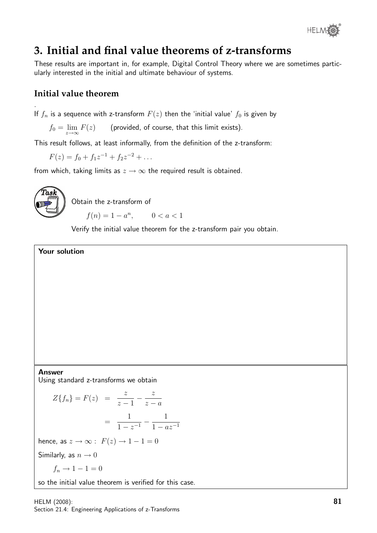

# **3. Initial and final value theorems of z-transforms**

These results are important in, for example, Digital Control Theory where we are sometimes particularly interested in the initial and ultimate behaviour of systems.

#### **Initial value theorem**

If  $f_n$  is a sequence with z-transform  $F(z)$  then the 'initial value'  $f_0$  is given by

 $f_0 = \lim\limits_{z \to \infty} F(z)$  (provided, of course, that this limit exists).

This result follows, at least informally, from the definition of the z-transform:

 $F(z) = f_0 + f_1 z^{-1} + f_2 z^{-2} + \dots$ 

from which, taking limits as  $z \to \infty$  the required result is obtained.



.

Obtain the z-transform of

 $f(n) = 1 - a^n,$   $0 < a < 1$ 

Verify the initial value theorem for the z-transform pair you obtain.

Your solution

#### Answer Using standard z-transforms we obtain

 $Z{f_n} = F(z) = \frac{z}{z-1}$  $-\frac{z}{z}$  $z - a$ = 1  $\frac{1}{1-z^{-1}} - \frac{1}{1-a}$  $1 - az^{-1}$ hence, as  $z \to \infty$ :  $F(z) \to 1 - 1 = 0$ Similarly, as  $n \to 0$  $f_n \rightarrow 1-1=0$ so the initial value theorem is verified for this case.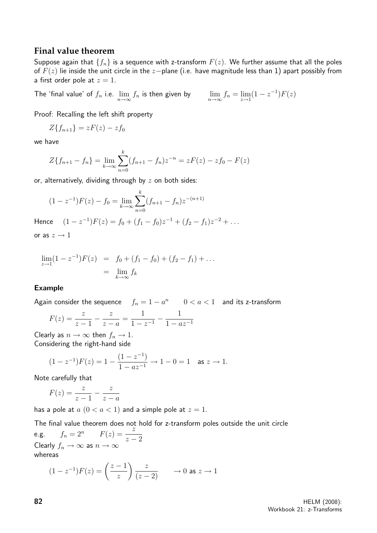#### **Final value theorem**

Suppose again that  $\{f_n\}$  is a sequence with z-transform  $F(z)$ . We further assume that all the poles of  $F(z)$  lie inside the unit circle in the  $z$ −plane (i.e. have magnitude less than 1) apart possibly from a first order pole at  $z = 1$ .

The 'final value' of  $f_n$  i.e.  $\lim_{n\to\infty}f_n$  is then given by  $\qquad \lim_{n\to\infty}f_n=\lim_{z\to 1}$ 

$$
\lim_{n \to \infty} f_n = \lim_{z \to 1} (1 - z^{-1}) F(z)
$$

Proof: Recalling the left shift property

$$
Z\{f_{n+1}\}=zF(z)-zf_0
$$

we have

$$
Z\{f_{n+1} - f_n\} = \lim_{k \to \infty} \sum_{n=0}^{k} (f_{n+1} - f_n) z^{-n} = zF(z) - zf_0 - F(z)
$$

or, alternatively, dividing through by  $z$  on both sides:

$$
(1 - z^{-1})F(z) - f_0 = \lim_{k \to \infty} \sum_{n=0}^{k} (f_{n+1} - f_n) z^{-(n+1)}
$$

Hence  $(1-z^{-1})F(z) = f_0 + (f_1 - f_0)z^{-1} + (f_2 - f_1)z^{-2} + \dots$ or as  $z \rightarrow 1$ 

$$
\lim_{z \to 1} (1 - z^{-1}) F(z) = f_0 + (f_1 - f_0) + (f_2 - f_1) + \dots
$$

$$
= \lim_{k \to \infty} f_k
$$

#### Example

Again consider the sequence  $f_n = 1 - a^n$   $0 < a < 1$  and its z-transform

$$
F(z) = \frac{z}{z-1} - \frac{z}{z-a} = \frac{1}{1-z^{-1}} - \frac{1}{1-az^{-1}}
$$

Clearly as  $n \to \infty$  then  $f_n \to 1$ . Considering the right-hand side

$$
(1-z^{-1})F(z) = 1 - \frac{(1-z^{-1})}{1-az^{-1}} \to 1-0 = 1 \quad \text{as } z \to 1.
$$

Note carefully that

$$
F(z) = \frac{z}{z-1} - \frac{z}{z-a}
$$

has a pole at  $a(0 < a < 1)$  and a simple pole at  $z = 1$ .

The final value theorem does not hold for z-transform poles outside the unit circle e.g.  $f_n = 2^n$   $F(z) = \frac{z}{z-2}$ Clearly  $f_n \to \infty$  as  $n \to \infty$ whereas

$$
(1 - z^{-1})F(z) = \left(\frac{z - 1}{z}\right)\frac{z}{(z - 2)} \longrightarrow 0 \text{ as } z \to 1
$$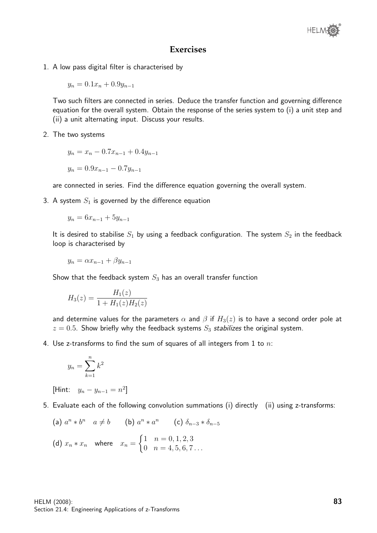#### **Exercises**

1. A low pass digital filter is characterised by

$$
y_n = 0.1x_n + 0.9y_{n-1}
$$

Two such filters are connected in series. Deduce the transfer function and governing difference equation for the overall system. Obtain the response of the series system to (i) a unit step and (ii) a unit alternating input. Discuss your results.

2. The two systems

$$
y_n = x_n - 0.7x_{n-1} + 0.4y_{n-1}
$$

$$
y_n = 0.9x_{n-1} - 0.7y_{n-1}
$$

are connected in series. Find the difference equation governing the overall system.

3. A system  $S_1$  is governed by the difference equation

$$
y_n = 6x_{n-1} + 5y_{n-1}
$$

It is desired to stabilise  $S_1$  by using a feedback configuration. The system  $S_2$  in the feedback loop is characterised by

$$
y_n = \alpha x_{n-1} + \beta y_{n-1}
$$

Show that the feedback system  $S_3$  has an overall transfer function

$$
H_3(z) = \frac{H_1(z)}{1 + H_1(z)H_2(z)}
$$

and determine values for the parameters  $\alpha$  and  $\beta$  if  $H_3(z)$  is to have a second order pole at  $z = 0.5$ . Show briefly why the feedback systems  $S_3$  stabilizes the original system.

4. Use z-transforms to find the sum of squares of all integers from 1 to  $n$ :

$$
y_n = \sum_{k=1}^n k^2
$$

[Hint:  $y_n - y_{n-1} = n^2$ ]

- 5. Evaluate each of the following convolution summations (i) directly (ii) using z-transforms:
	- (a)  $a^n * b^n$   $a \neq b$  (b)  $a^n * a^n$  (c)  $\delta_{n-3} * \delta_{n-5}$ (d)  $x_n * x_n$  where  $x_n =$  $\int 1 \quad n = 0, 1, 2, 3$  $0 \quad n = 4, 5, 6, 7 \ldots$